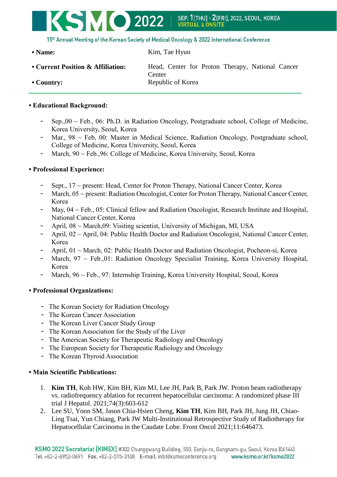

15th Annual Meeting of the Korean Society of Medical Oncology & 2022 International Conference

• Name: Kim, Tae Hyun

• Current Position & Affiliation: Head, Center for Proton Therapy, National Cancer **Center** • **Country:** Republic of Korea

## **• Educational Background:**

- Sep.,  $00 \sim$  Feb., 06: Ph.D. in Radiation Oncology, Postgraduate school, College of Medicine, Korea University, Seoul, Korea
- Mar., 98 ~ Feb, 00: Master in Medical Science, Radiation Oncology, Postgraduate school, College of Medicine, Korea University, Seoul, Korea
- March, 90 ~ Feb.,96: College of Medicine, Korea University, Seoul, Korea

## **• Professional Experience:**

- Sept.,  $17 \sim$  present: Head, Center for Proton Therapy, National Cancer Center, Korea
- March, 05 ~ present: Radiation Oncologist, Center for Proton Therapy, National Cancer Center, Korea
- May,  $04 \sim$  Feb., 05: Clinical fellow and Radiation Oncologist, Research Institute and Hospital, National Cancer Center, Korea
- April,  $08 \sim \text{March}, 09$ : Visiting scientist, University of Michigan, MI, USA
- April, 02 ~ April, 04: Public Health Doctor and Radiation Oncologist, National Cancer Center, Korea
- April, 01 ~ March, 02: Public Health Doctor and Radiation Oncologist, Pocheon-si, Korea
- March,  $97 \sim$  Feb.,01: Radiation Oncology Specialist Training, Korea University Hospital, Korea
- March, 96 ~ Feb., 97: Internship Training, Korea University Hospital, Seoul, Korea

## **• Professional Organizations:**

- The Korean Society for Radiation Oncology
- The Korean Cancer Association
- The Korean Liver Cancer Study Group
- The Korean Association for the Study of the Liver
- The American Society for Therapeutic Radiology and Oncology
- The European Society for Therapeutic Radiology and Oncology
- The Korean Thyroid Association

## **• Main Scientific Publications:**

- 1. **Kim TH**, Koh HW, Kim BH, Kim MJ, Lee JH, Park B, Park JW. Proton beam radiotherapy vs. radiofrequency ablation for recurrent hepatocellular carcinoma: A randomized phase III trial J Hepatol. 2021;74(3):603-612
- 2. Lee SU, Yoon SM, Jason Chia-Hsien Cheng, **Kim TH**, Kim BH, Park JH, Jung JH, Chiao-Ling Tsai, Yun Chiang, Park JW Multi-Institutional Retrospective Study of Radiotherapy for Hepatocellular Carcinoma in the Caudate Lobe. Front Oncol 2021;11:646473.